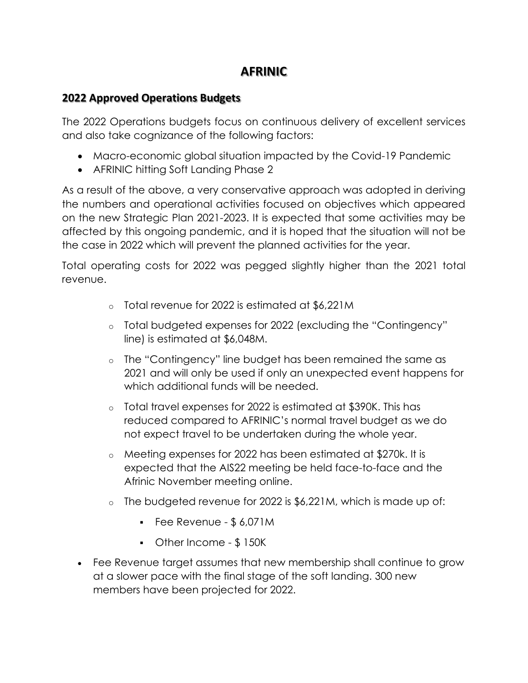## **AFRINIC**

## **2022 Approved Operations Budgets**

The 2022 Operations budgets focus on continuous delivery of excellent services and also take cognizance of the following factors:

- Macro-economic global situation impacted by the Covid-19 Pandemic
- AFRINIC hitting Soft Landing Phase 2

As a result of the above, a very conservative approach was adopted in deriving the numbers and operational activities focused on objectives which appeared on the new Strategic Plan 2021-2023. It is expected that some activities may be affected by this ongoing pandemic, and it is hoped that the situation will not be the case in 2022 which will prevent the planned activities for the year.

Total operating costs for 2022 was pegged slightly higher than the 2021 total revenue.

- o Total revenue for 2022 is estimated at \$6,221M
- o Total budgeted expenses for 2022 (excluding the "Contingency" line) is estimated at \$6,048M.
- o The "Contingency" line budget has been remained the same as 2021 and will only be used if only an unexpected event happens for which additional funds will be needed.
- o Total travel expenses for 2022 is estimated at \$390K. This has reduced compared to AFRINIC's normal travel budget as we do not expect travel to be undertaken during the whole year.
- o Meeting expenses for 2022 has been estimated at \$270k. It is expected that the AIS22 meeting be held face-to-face and the Afrinic November meeting online.
- o The budgeted revenue for 2022 is \$6,221M, which is made up of:
	- $\blacksquare$  Fee Revenue \$ 6,071M
	- Other Income \$ 150K
- Fee Revenue target assumes that new membership shall continue to grow at a slower pace with the final stage of the soft landing. 300 new members have been projected for 2022.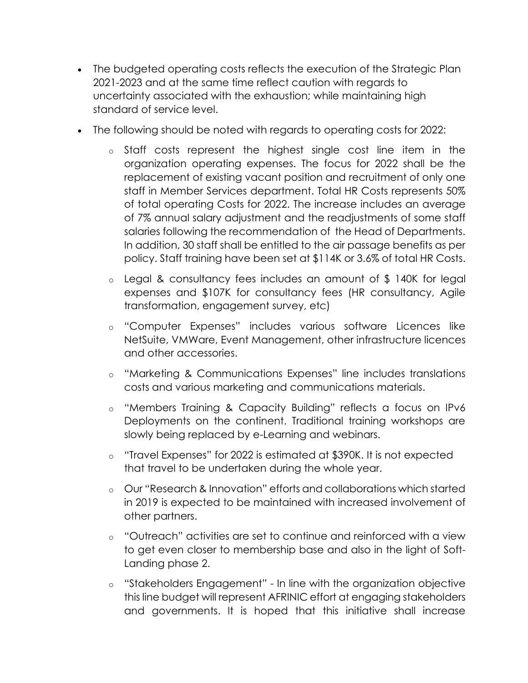- The budgeted operating costs reflects the execution of the Strategic Plan 2021-2023 and at the same time reflect caution with regards to uncertainty associated with the exhaustion; while maintaining high standard of service level.
- The following should be noted with regards to operating costs for 2022:
	- o Staff costs represent the highest single cost line item in the organization operating expenses. The focus for 2022 shall be the replacement of existing vacant position and recruitment of only one staff in Member Services department. Total HR Costs represents 50% of total operating Costs for 2022. The increase includes an average of 7% annual salary adjustment and the readjustments of some staff salaries following the recommendation of the Head of Departments. In addition, 30 staff shall be entitled to the air passage benefits as per policy. Staff training have been set at \$114K or 3.6% of total HR Costs.
	- o Legal & consultancy fees includes an amount of \$ 140K for legal expenses and \$107K for consultancy fees (HR consultancy, Agile transformation, engagement survey, etc)
	- o "Computer Expenses" includes various software Licences like NetSuite, VMWare, Event Management, other infrastructure licences and other accessories.
	- o "Marketing & Communications Expenses" line includes translations costs and various marketing and communications materials.
	- o "Members Training & Capacity Building" reflects a focus on IPv6 Deployments on the continent. Traditional training workshops are slowly being replaced by e-Learning and webinars.
	- o "Travel Expenses" for 2022 is estimated at \$390K. It is not expected that travel to be undertaken during the whole year.
	- o Our "Research & Innovation" efforts and collaborations which started in 2019 is expected to be maintained with increased involvement of other partners.
	- o "Outreach" activities are set to continue and reinforced with a view to get even closer to membership base and also in the light of Soft-Landing phase 2.
	- o "Stakeholders Engagement" In line with the organization objective this line budget will represent AFRINIC effort at engaging stakeholders and governments. It is hoped that this initiative shall increase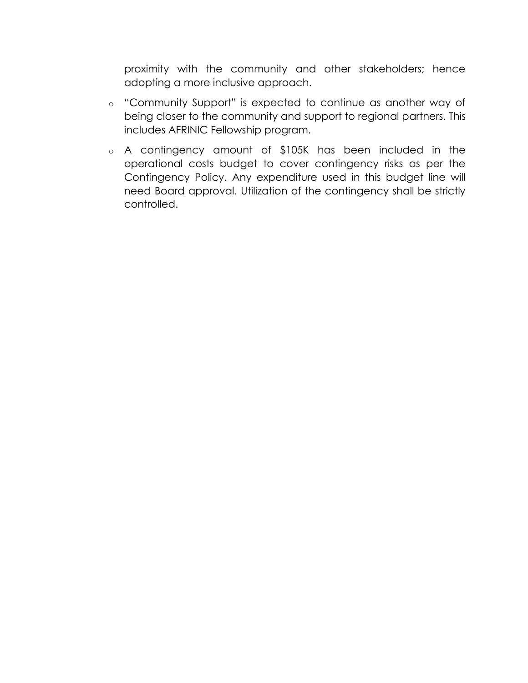proximity with the community and other stakeholders; hence adopting a more inclusive approach.

- o "Community Support" is expected to continue as another way of being closer to the community and support to regional partners. This includes AFRINIC Fellowship program.
- o A contingency amount of \$105K has been included in the operational costs budget to cover contingency risks as per the Contingency Policy. Any expenditure used in this budget line will need Board approval. Utilization of the contingency shall be strictly controlled.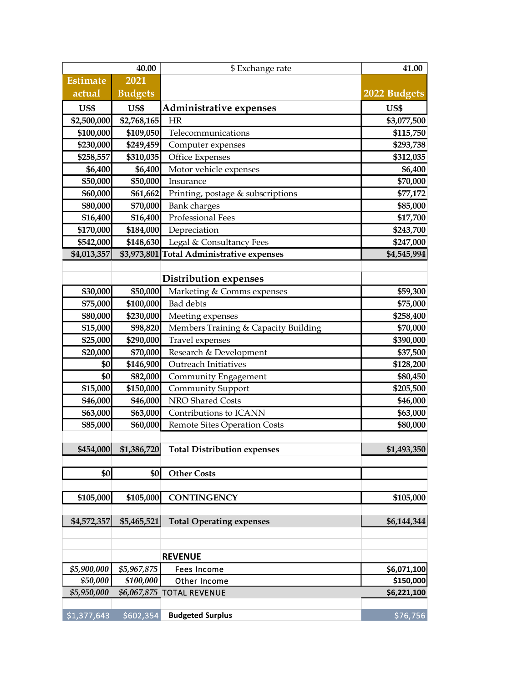| 40.00           |                | \$ Exchange rate                                  | 41.00        |
|-----------------|----------------|---------------------------------------------------|--------------|
| <b>Estimate</b> | 2021           |                                                   |              |
| actual          | <b>Budgets</b> |                                                   | 2022 Budgets |
| US\$            | US\$           | <b>Administrative expenses</b>                    | US\$         |
| \$2,500,000     | \$2,768,165    | <b>HR</b>                                         | \$3,077,500  |
| \$100,000       | \$109,050      | Telecommunications                                | \$115,750    |
| \$230,000       | \$249,459      | Computer expenses                                 | \$293,738    |
| \$258,557       | \$310,035      | Office Expenses                                   | \$312,035    |
| \$6,400         | \$6,400        | Motor vehicle expenses                            | \$6,400      |
| \$50,000        | \$50,000       | Insurance                                         | \$70,000     |
| \$60,000        | \$61,662       | Printing, postage & subscriptions                 | \$77,172     |
| \$80,000        | \$70,000       | <b>Bank</b> charges                               | \$85,000     |
| \$16,400        | \$16,400       | Professional Fees                                 | \$17,700     |
| \$170,000       | \$184,000      | Depreciation                                      | \$243,700    |
| \$542,000       | \$148,630      | Legal & Consultancy Fees                          | \$247,000    |
| \$4,013,357     | \$3,973,801    | <b>Total Administrative expenses</b>              | \$4,545,994  |
|                 |                |                                                   |              |
|                 |                | <b>Distribution expenses</b>                      |              |
| \$30,000        | \$50,000       | Marketing & Comms expenses                        | \$59,300     |
| \$75,000        | \$100,000      | <b>Bad</b> debts                                  | \$75,000     |
| \$80,000        | \$230,000      | Meeting expenses                                  | \$258,400    |
| \$15,000        | \$98,820       | Members Training & Capacity Building              | \$70,000     |
| \$25,000        | \$290,000      | Travel expenses                                   | \$390,000    |
| \$20,000        | \$70,000       | Research & Development                            | \$37,500     |
| \$0             | \$146,900      | Outreach Initiatives                              | \$128,200    |
| \$0             | \$82,000       | Community Engagement                              | \$80,450     |
| \$15,000        | \$150,000      | <b>Community Support</b>                          | \$205,500    |
| \$46,000        | \$46,000       | NRO Shared Costs                                  | \$46,000     |
| \$63,000        | \$63,000       | Contributions to ICANN                            | \$63,000     |
| \$85,000        | \$60,000       | Remote Sites Operation Costs                      | \$80,000     |
|                 |                | \$454,000 \$1,386,720 Total Distribution expenses |              |
|                 |                |                                                   | \$1,493,350  |
| \$0             | \$0            | <b>Other Costs</b>                                |              |
|                 |                |                                                   |              |
| \$105,000       | \$105,000      | <b>CONTINGENCY</b>                                | \$105,000    |
|                 |                |                                                   |              |
| \$4,572,357     | \$5,465,521    | <b>Total Operating expenses</b>                   | \$6,144,344  |
|                 |                |                                                   |              |
|                 |                |                                                   |              |
|                 |                | <b>REVENUE</b>                                    |              |
| \$5,900,000     | \$5,967,875    | Fees Income                                       | \$6,071,100  |
| \$50,000        | \$100,000      | Other Income                                      | \$150,000    |
| \$5,950,000     |                | \$6,067,875 TOTAL REVENUE                         | \$6,221,100  |
| \$1,377,643     | \$602,354      | <b>Budgeted Surplus</b>                           | \$76,756     |
|                 |                |                                                   |              |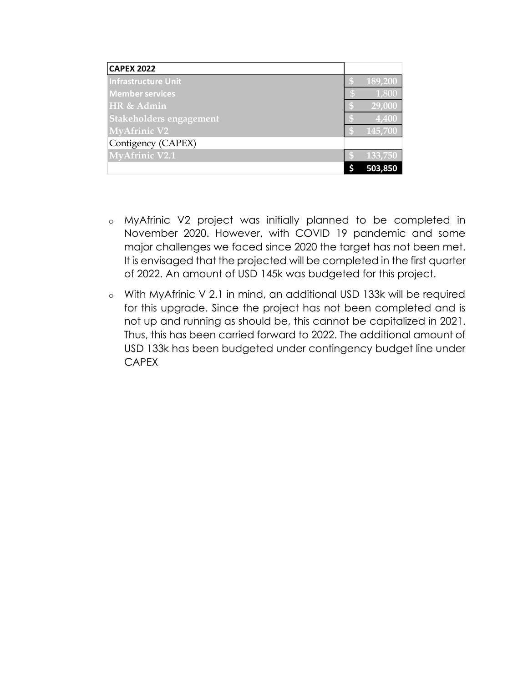| <b>CAPEX 2022</b>              |              |         |
|--------------------------------|--------------|---------|
| <b>Infrastructure Unit</b>     |              | 189,200 |
| <b>Member services</b>         | $\mathbb{S}$ | 1,800   |
| HR & Admin                     |              | 29,000  |
| <b>Stakeholders engagement</b> |              | 4,400   |
| <b>MyAfrinic V2</b>            |              | 145,700 |
| Contigency (CAPEX)             |              |         |
| <b>MyAfrinic V2.1</b>          |              | 133,750 |
|                                |              | 503,850 |

- o MyAfrinic V2 project was initially planned to be completed in November 2020. However, with COVID 19 pandemic and some major challenges we faced since 2020 the target has not been met. It is envisaged that the projected will be completed in the first quarter of 2022. An amount of USD 145k was budgeted for this project.
- o With MyAfrinic V 2.1 in mind, an additional USD 133k will be required for this upgrade. Since the project has not been completed and is not up and running as should be, this cannot be capitalized in 2021. Thus, this has been carried forward to 2022. The additional amount of USD 133k has been budgeted under contingency budget line under CAPEX